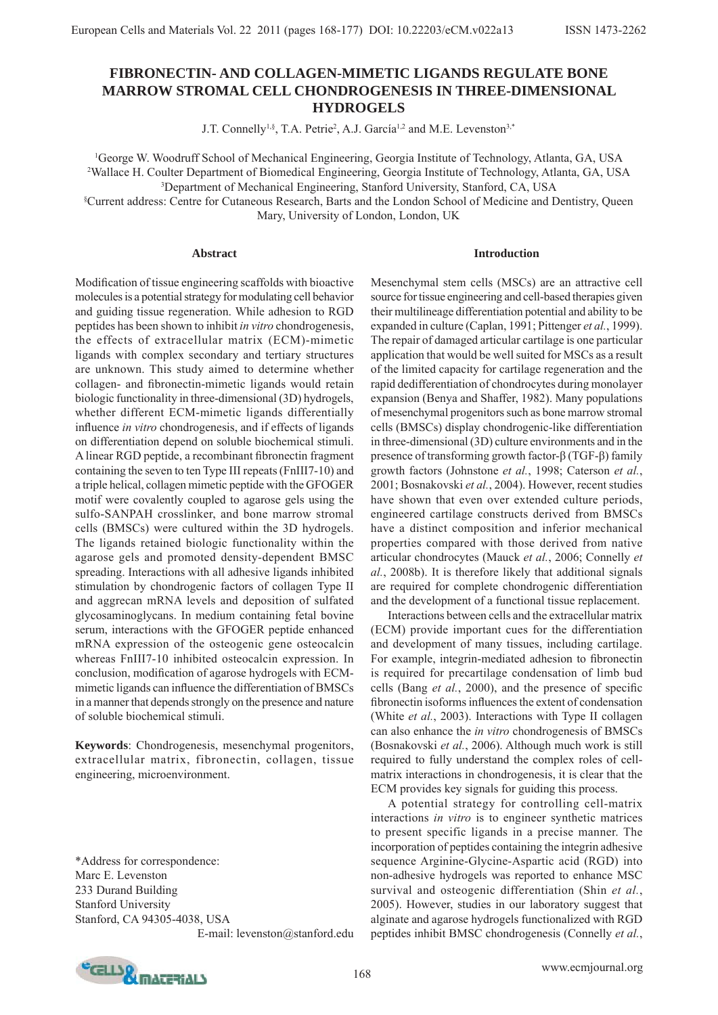# **FIBRONECTIN- AND COLLAGEN-MIMETIC LIGANDS REGULATE BONE MARROW STROMAL CELL CHONDROGENESIS IN THREE-DIMENSIONAL HYDROGELS**

J.T. Connelly<sup>1,§</sup>, T.A. Petrie<sup>2</sup>, A.J. García<sup>1,2</sup> and M.E. Levenston<sup>3,\*</sup>

1 George W. Woodruff School of Mechanical Engineering, Georgia Institute of Technology, Atlanta, GA, USA 2 Wallace H. Coulter Department of Biomedical Engineering, Georgia Institute of Technology, Atlanta, GA, USA

3 Department of Mechanical Engineering, Stanford University, Stanford, CA, USA

§ Current address: Centre for Cutaneous Research, Barts and the London School of Medicine and Dentistry, Queen Mary, University of London, London, UK

#### **Abstract**

### **Introduction**

Modification of tissue engineering scaffolds with bioactive molecules is a potential strategy for modulating cell behavior and guiding tissue regeneration. While adhesion to RGD peptides has been shown to inhibit *in vitro* chondrogenesis, the effects of extracellular matrix (ECM)-mimetic ligands with complex secondary and tertiary structures are unknown. This study aimed to determine whether collagen- and fibronectin-mimetic ligands would retain biologic functionality in three-dimensional (3D) hydrogels, whether different ECM-mimetic ligands differentially influence *in vitro* chondrogenesis, and if effects of ligands on differentiation depend on soluble biochemical stimuli. A linear RGD peptide, a recombinant fibronectin fragment containing the seven to ten Type III repeats (FnIII7-10) and a triple helical, collagen mimetic peptide with the GFOGER motif were covalently coupled to agarose gels using the sulfo-SANPAH crosslinker, and bone marrow stromal cells (BMSCs) were cultured within the 3D hydrogels. The ligands retained biologic functionality within the agarose gels and promoted density-dependent BMSC spreading. Interactions with all adhesive ligands inhibited stimulation by chondrogenic factors of collagen Type II and aggrecan mRNA levels and deposition of sulfated glycosaminoglycans. In medium containing fetal bovine serum, interactions with the GFOGER peptide enhanced mRNA expression of the osteogenic gene osteocalcin whereas FnIII7-10 inhibited osteocalcin expression. In conclusion, modification of agarose hydrogels with ECMmimetic ligands can influence the differentiation of BMSCs in a manner that depends strongly on the presence and nature of soluble biochemical stimuli.

**Keywords**: Chondrogenesis, mesenchymal progenitors, extracellular matrix, fibronectin, collagen, tissue engineering, microenvironment.

\*Address for correspondence: Marc E. Levenston 233 Durand Building Stanford University Stanford, CA 94305-4038, USA

E-mail: levenston@stanford.edu

Mesenchymal stem cells (MSCs) are an attractive cell source for tissue engineering and cell-based therapies given their multilineage differentiation potential and ability to be expanded in culture (Caplan, 1991; Pittenger *et al.*, 1999). The repair of damaged articular cartilage is one particular application that would be well suited for MSCs as a result of the limited capacity for cartilage regeneration and the rapid dedifferentiation of chondrocytes during monolayer expansion (Benya and Shaffer, 1982). Many populations of mesenchymal progenitors such as bone marrow stromal cells (BMSCs) display chondrogenic-like differentiation in three-dimensional (3D) culture environments and in the presence of transforming growth factor-β (TGF-β) family growth factors (Johnstone *et al.*, 1998; Caterson *et al.*, 2001; Bosnakovski *et al.*, 2004). However, recent studies have shown that even over extended culture periods, engineered cartilage constructs derived from BMSCs have a distinct composition and inferior mechanical properties compared with those derived from native articular chondrocytes (Mauck *et al.*, 2006; Connelly *et al.*, 2008b). It is therefore likely that additional signals are required for complete chondrogenic differentiation and the development of a functional tissue replacement.

 Interactions between cells and the extracellular matrix (ECM) provide important cues for the differentiation and development of many tissues, including cartilage. For example, integrin-mediated adhesion to fibronectin is required for precartilage condensation of limb bud cells (Bang et al., 2000), and the presence of specific fibronectin isoforms influences the extent of condensation (White *et al.*, 2003). Interactions with Type II collagen can also enhance the *in vitro* chondrogenesis of BMSCs (Bosnakovski *et al.*, 2006). Although much work is still required to fully understand the complex roles of cellmatrix interactions in chondrogenesis, it is clear that the ECM provides key signals for guiding this process.

 A potential strategy for controlling cell-matrix interactions *in vitro* is to engineer synthetic matrices to present specific ligands in a precise manner. The incorporation of peptides containing the integrin adhesive sequence Arginine-Glycine-Aspartic acid (RGD) into non-adhesive hydrogels was reported to enhance MSC survival and osteogenic differentiation (Shin *et al.*, 2005). However, studies in our laboratory suggest that alginate and agarose hydrogels functionalized with RGD peptides inhibit BMSC chondrogenesis (Connelly *et al.*,

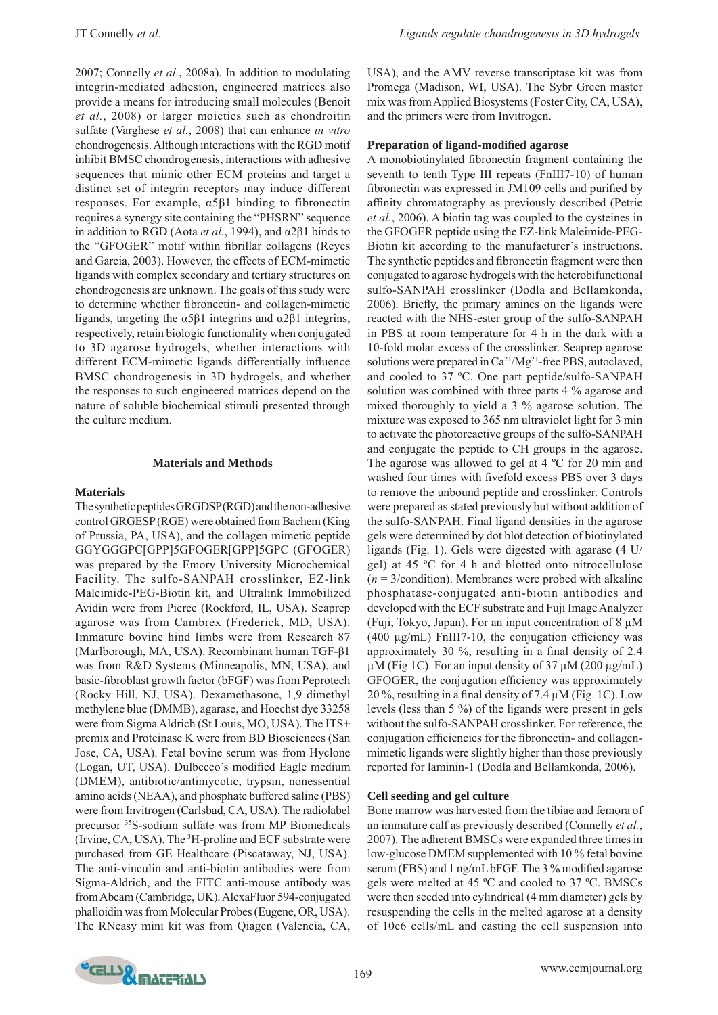2007; Connelly *et al.*, 2008a). In addition to modulating integrin-mediated adhesion, engineered matrices also provide a means for introducing small molecules (Benoit *et al.*, 2008) or larger moieties such as chondroitin sulfate (Varghese *et al.*, 2008) that can enhance *in vitro* chondrogenesis. Although interactions with the RGD motif inhibit BMSC chondrogenesis, interactions with adhesive sequences that mimic other ECM proteins and target a distinct set of integrin receptors may induce different responses. For example, α5β1 binding to fibronectin requires a synergy site containing the "PHSRN" sequence in addition to RGD (Aota *et al.*, 1994), and α2β1 binds to the "GFOGER" motif within fibrillar collagens (Reyes) and Garcia, 2003). However, the effects of ECM-mimetic ligands with complex secondary and tertiary structures on chondrogenesis are unknown. The goals of this study were to determine whether fibronectin- and collagen-mimetic ligands, targeting the α5β1 integrins and α2β1 integrins, respectively, retain biologic functionality when conjugated to 3D agarose hydrogels, whether interactions with different ECM-mimetic ligands differentially influence BMSC chondrogenesis in 3D hydrogels, and whether the responses to such engineered matrices depend on the nature of soluble biochemical stimuli presented through the culture medium.

### **Materials and Methods**

#### **Materials**

The synthetic peptides GRGDSP (RGD) and the non-adhesive control GRGESP (RGE) were obtained from Bachem (King of Prussia, PA, USA), and the collagen mimetic peptide GGYGGGPC[GPP]5GFOGER[GPP]5GPC (GFOGER) was prepared by the Emory University Microchemical Facility. The sulfo-SANPAH crosslinker, EZ-link Maleimide-PEG-Biotin kit, and Ultralink Immobilized Avidin were from Pierce (Rockford, IL, USA). Seaprep agarose was from Cambrex (Frederick, MD, USA). Immature bovine hind limbs were from Research 87 (Marlborough, MA, USA). Recombinant human TGF-β1 was from R&D Systems (Minneapolis, MN, USA), and basic-fibroblast growth factor (bFGF) was from Peprotech (Rocky Hill, NJ, USA). Dexamethasone, 1,9 dimethyl methylene blue (DMMB), agarase, and Hoechst dye 33258 were from Sigma Aldrich (St Louis, MO, USA). The ITS+ premix and Proteinase K were from BD Biosciences (San Jose, CA, USA). Fetal bovine serum was from Hyclone (Logan, UT, USA). Dulbecco's modified Eagle medium (DMEM), antibiotic/antimycotic, trypsin, nonessential amino acids (NEAA), and phosphate buffered saline (PBS) were from Invitrogen (Carlsbad, CA, USA). The radiolabel precursor 35S-sodium sulfate was from MP Biomedicals (Irvine, CA, USA). The 3 H-proline and ECF substrate were purchased from GE Healthcare (Piscataway, NJ, USA). The anti-vinculin and anti-biotin antibodies were from Sigma-Aldrich, and the FITC anti-mouse antibody was from Abcam (Cambridge, UK). AlexaFluor 594-conjugated phalloidin was from Molecular Probes (Eugene, OR, USA). The RNeasy mini kit was from Qiagen (Valencia, CA,

USA), and the AMV reverse transcriptase kit was from Promega (Madison, WI, USA). The Sybr Green master mix was from Applied Biosystems (Foster City, CA, USA), and the primers were from Invitrogen.

### **Preparation of ligand-modified agarose**

A monobiotinylated fibronectin fragment containing the seventh to tenth Type III repeats (FnIII7-10) of human fibronectin was expressed in JM109 cells and purified by affinity chromatography as previously described (Petrie *et al.*, 2006). A biotin tag was coupled to the cysteines in the GFOGER peptide using the EZ-link Maleimide-PEG-Biotin kit according to the manufacturer's instructions. The synthetic peptides and fibronectin fragment were then conjugated to agarose hydrogels with the heterobifunctional sulfo-SANPAH crosslinker (Dodla and Bellamkonda, 2006). Briefly, the primary amines on the ligands were reacted with the NHS-ester group of the sulfo-SANPAH in PBS at room temperature for 4 h in the dark with a 10-fold molar excess of the crosslinker. Seaprep agarose solutions were prepared in  $Ca^{2+}/Mg^{2+}$ -free PBS, autoclaved, and cooled to 37 ºC. One part peptide/sulfo-SANPAH solution was combined with three parts 4 % agarose and mixed thoroughly to yield a 3 % agarose solution. The mixture was exposed to 365 nm ultraviolet light for 3 min to activate the photoreactive groups of the sulfo-SANPAH and conjugate the peptide to CH groups in the agarose. The agarose was allowed to gel at 4 ºC for 20 min and washed four times with fivefold excess PBS over 3 days to remove the unbound peptide and crosslinker. Controls were prepared as stated previously but without addition of the sulfo-SANPAH. Final ligand densities in the agarose gels were determined by dot blot detection of biotinylated ligands (Fig. 1). Gels were digested with agarase (4 U/ gel) at 45 ºC for 4 h and blotted onto nitrocellulose  $(n = 3$ /condition). Membranes were probed with alkaline phosphatase-conjugated anti-biotin antibodies and developed with the ECF substrate and Fuji Image Analyzer (Fuji, Tokyo, Japan). For an input concentration of 8 μM (400  $\mu$ g/mL) FnIII7-10, the conjugation efficiency was approximately 30  $\%$ , resulting in a final density of 2.4 μM (Fig 1C). For an input density of 37 μM (200 μg/mL) GFOGER, the conjugation efficiency was approximately 20 %, resulting in a final density of 7.4  $\mu$ M (Fig. 1C). Low levels (less than 5 %) of the ligands were present in gels without the sulfo-SANPAH crosslinker. For reference, the conjugation efficiencies for the fibronectin- and collagenmimetic ligands were slightly higher than those previously reported for laminin-1 (Dodla and Bellamkonda, 2006).

### **Cell seeding and gel culture**

Bone marrow was harvested from the tibiae and femora of an immature calf as previously described (Connelly *et al.*, 2007). The adherent BMSCs were expanded three times in low-glucose DMEM supplemented with 10 % fetal bovine serum (FBS) and 1 ng/mL bFGF. The  $3\%$  modified agarose gels were melted at 45 ºC and cooled to 37 ºC. BMSCs were then seeded into cylindrical (4 mm diameter) gels by resuspending the cells in the melted agarose at a density of 10e6 cells/mL and casting the cell suspension into

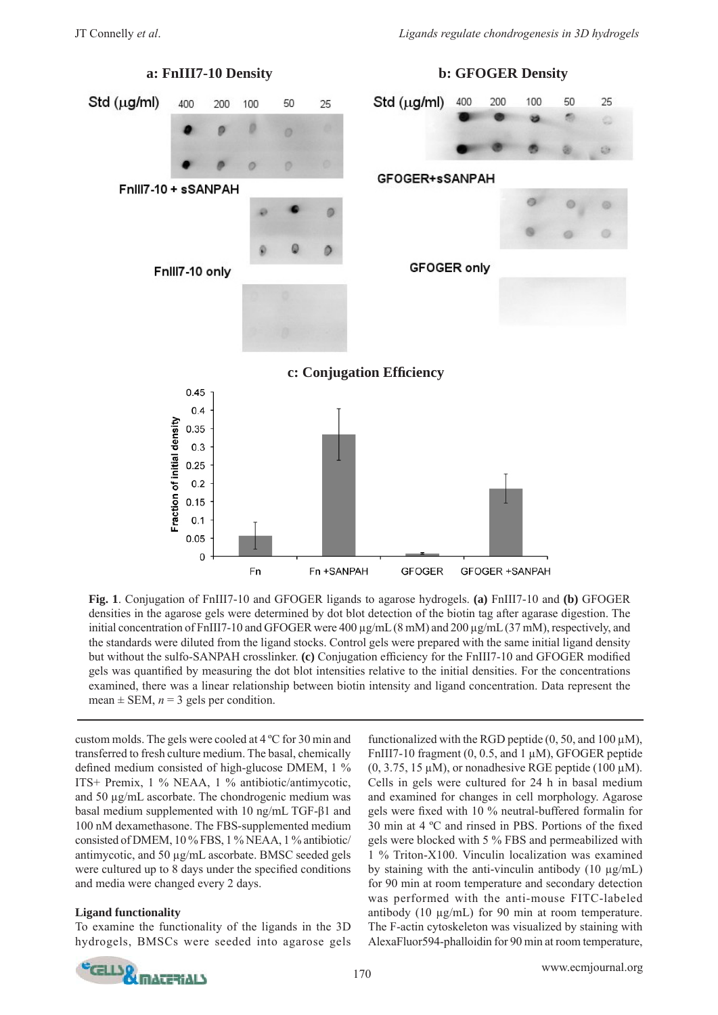

**Fig. 1**. Conjugation of FnIII7-10 and GFOGER ligands to agarose hydrogels. **(a)** FnIII7-10 and **(b)** GFOGER densities in the agarose gels were determined by dot blot detection of the biotin tag after agarase digestion. The initial concentration of FnIII7-10 and GFOGER were 400 μg/mL (8 mM) and 200 μg/mL (37 mM), respectively, and the standards were diluted from the ligand stocks. Control gels were prepared with the same initial ligand density but without the sulfo-SANPAH crosslinker. **(c)** Conjugation efficiency for the FnIII7-10 and GFOGER modified gels was quantified by measuring the dot blot intensities relative to the initial densities. For the concentrations examined, there was a linear relationship between biotin intensity and ligand concentration. Data represent the mean  $\pm$  SEM,  $n = 3$  gels per condition.

custom molds. The gels were cooled at 4 ºC for 30 min and transferred to fresh culture medium. The basal, chemically defined medium consisted of high-glucose DMEM, 1 % ITS+ Premix, 1 % NEAA, 1 % antibiotic/antimycotic, and 50 μg/mL ascorbate. The chondrogenic medium was basal medium supplemented with 10 ng/mL TGF-β1 and 100 nM dexamethasone. The FBS-supplemented medium consisted of DMEM, 10 % FBS, 1 % NEAA, 1 % antibiotic/ antimycotic, and 50 μg/mL ascorbate. BMSC seeded gels were cultured up to 8 days under the specified conditions and media were changed every 2 days.

# **Ligand functionality**

To examine the functionality of the ligands in the 3D hydrogels, BMSCs were seeded into agarose gels functionalized with the RGD peptide  $(0, 50, \text{ and } 100 \,\mu\text{M})$ , FnIII7-10 fragment  $(0, 0.5, \text{ and } 1 \mu M)$ , GFOGER peptide  $(0, 3.75, 15 \mu M)$ , or nonadhesive RGE peptide (100  $\mu$ M). Cells in gels were cultured for 24 h in basal medium and examined for changes in cell morphology. Agarose gels were fixed with 10 % neutral-buffered formalin for 30 min at  $4^{\circ}$ C and rinsed in PBS. Portions of the fixed gels were blocked with 5 % FBS and permeabilized with 1 % Triton-X100. Vinculin localization was examined by staining with the anti-vinculin antibody (10 μg/mL) for 90 min at room temperature and secondary detection was performed with the anti-mouse FITC-labeled antibody (10 μg/mL) for 90 min at room temperature. The F-actin cytoskeleton was visualized by staining with AlexaFluor594-phalloidin for 90 min at room temperature,

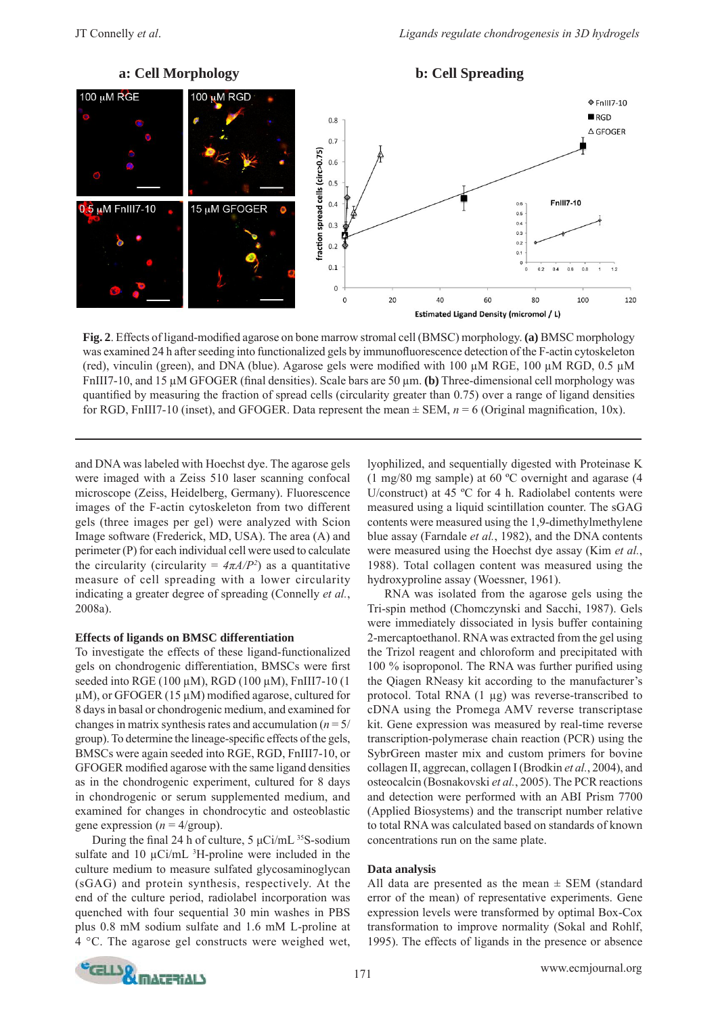

**Fig. 2**. Effects of ligand-modified agarose on bone marrow stromal cell (BMSC) morphology. (a) BMSC morphology was examined 24 h after seeding into functionalized gels by immunofluorescence detection of the F-actin cytoskeleton (red), vinculin (green), and DNA (blue). Agarose gels were modified with 100  $\mu$ M RGE, 100  $\mu$ M RGD, 0.5  $\mu$ M FnIII7-10, and 15 μM GFOGER (final densities). Scale bars are 50 μm. (b) Three-dimensional cell morphology was quantified by measuring the fraction of spread cells (circularity greater than  $0.75$ ) over a range of ligand densities for RGD, FnIII7-10 (inset), and GFOGER. Data represent the mean  $\pm$  SEM,  $n = 6$  (Original magnification, 10x).

and DNA was labeled with Hoechst dye. The agarose gels were imaged with a Zeiss 510 laser scanning confocal microscope (Zeiss, Heidelberg, Germany). Fluorescence images of the F-actin cytoskeleton from two different gels (three images per gel) were analyzed with Scion Image software (Frederick, MD, USA). The area (A) and perimeter (P) for each individual cell were used to calculate the circularity (circularity =  $4\pi A/P^2$ ) as a quantitative measure of cell spreading with a lower circularity indicating a greater degree of spreading (Connelly *et al.*, 2008a).

### **Effects of ligands on BMSC differentiation**

To investigate the effects of these ligand-functionalized gels on chondrogenic differentiation, BMSCs were first seeded into RGE (100  $\mu$ M), RGD (100  $\mu$ M), FnIII7-10 (1  $\mu$ M), or GFOGER (15  $\mu$ M) modified agarose, cultured for 8 days in basal or chondrogenic medium, and examined for changes in matrix synthesis rates and accumulation  $(n = 5)$ group). To determine the lineage-specific effects of the gels, BMSCs were again seeded into RGE, RGD, FnIII7-10, or GFOGER modified agarose with the same ligand densities as in the chondrogenic experiment, cultured for 8 days in chondrogenic or serum supplemented medium, and examined for changes in chondrocytic and osteoblastic gene expression ( $n = 4$ /group).

During the final 24 h of culture,  $5 \mu \text{Ci/m}$ L <sup>35</sup>S-sodium sulfate and 10  $\mu$ Ci/mL <sup>3</sup>H-proline were included in the culture medium to measure sulfated glycosaminoglycan (sGAG) and protein synthesis, respectively. At the end of the culture period, radiolabel incorporation was quenched with four sequential 30 min washes in PBS plus 0.8 mM sodium sulfate and 1.6 mM L-proline at 4 °C. The agarose gel constructs were weighed wet,

lyophilized, and sequentially digested with Proteinase K (1 mg/80 mg sample) at 60 ºC overnight and agarase (4 U/construct) at 45 ºC for 4 h. Radiolabel contents were measured using a liquid scintillation counter. The sGAG contents were measured using the 1,9-dimethylmethylene blue assay (Farndale *et al.*, 1982), and the DNA contents were measured using the Hoechst dye assay (Kim *et al.*, 1988). Total collagen content was measured using the hydroxyproline assay (Woessner, 1961).

 RNA was isolated from the agarose gels using the Tri-spin method (Chomczynski and Sacchi, 1987). Gels were immediately dissociated in lysis buffer containing 2-mercaptoethanol. RNA was extracted from the gel using the Trizol reagent and chloroform and precipitated with 100  $\%$  isoproponol. The RNA was further purified using the Qiagen RNeasy kit according to the manufacturer's protocol. Total RNA (1 μg) was reverse-transcribed to cDNA using the Promega AMV reverse transcriptase kit. Gene expression was measured by real-time reverse transcription-polymerase chain reaction (PCR) using the SybrGreen master mix and custom primers for bovine collagen II, aggrecan, collagen I (Brodkin *et al.*, 2004), and osteocalcin (Bosnakovski *et al.*, 2005). The PCR reactions and detection were performed with an ABI Prism 7700 (Applied Biosystems) and the transcript number relative to total RNA was calculated based on standards of known concentrations run on the same plate.

# **Data analysis**

All data are presented as the mean  $\pm$  SEM (standard error of the mean) of representative experiments. Gene expression levels were transformed by optimal Box-Cox transformation to improve normality (Sokal and Rohlf, 1995). The effects of ligands in the presence or absence

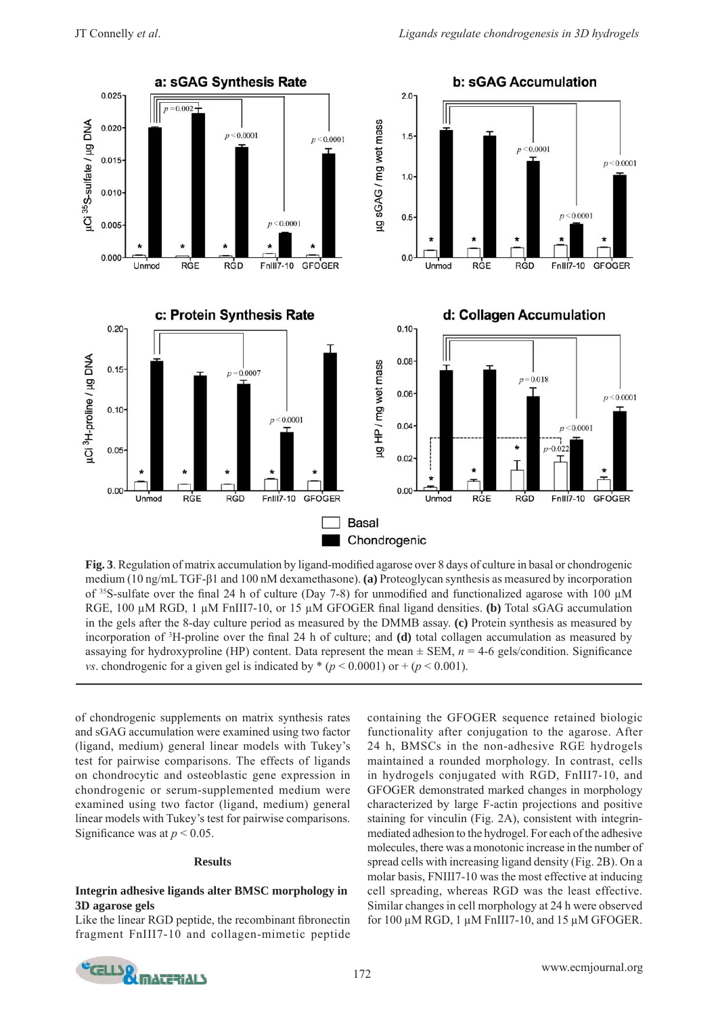

**Fig. 3**. Regulation of matrix accumulation by ligand-modified agarose over 8 days of culture in basal or chondrogenic medium (10 ng/mL TGF-β1 and 100 nM dexamethasone). **(a)** Proteoglycan synthesis as measured by incorporation of <sup>35</sup>S-sulfate over the final 24 h of culture (Day 7-8) for unmodified and functionalized agarose with 100 μM RGE, 100 μM RGD, 1 μM FnIII7-10, or 15 μM GFOGER final ligand densities. (b) Total sGAG accumulation in the gels after the 8-day culture period as measured by the DMMB assay. **(c)** Protein synthesis as measured by incorporation of <sup>3</sup>H-proline over the final 24 h of culture; and **(d)** total collagen accumulation as measured by assaying for hydroxyproline (HP) content. Data represent the mean  $\pm$  SEM,  $n = 4$ -6 gels/condition. Significance *vs*. chondrogenic for a given gel is indicated by  $*(p \le 0.0001)$  or  $+(p \le 0.001)$ .

of chondrogenic supplements on matrix synthesis rates and sGAG accumulation were examined using two factor (ligand, medium) general linear models with Tukey's test for pairwise comparisons. The effects of ligands on chondrocytic and osteoblastic gene expression in chondrogenic or serum-supplemented medium were examined using two factor (ligand, medium) general linear models with Tukey's test for pairwise comparisons. Significance was at  $p < 0.05$ .

#### **Results**

### **Integrin adhesive ligands alter BMSC morphology in 3D agarose gels**

Like the linear RGD peptide, the recombinant fibronectin fragment FnIII7-10 and collagen-mimetic peptide containing the GFOGER sequence retained biologic functionality after conjugation to the agarose. After 24 h, BMSCs in the non-adhesive RGE hydrogels maintained a rounded morphology. In contrast, cells in hydrogels conjugated with RGD, FnIII7-10, and GFOGER demonstrated marked changes in morphology characterized by large F-actin projections and positive staining for vinculin (Fig. 2A), consistent with integrinmediated adhesion to the hydrogel. For each of the adhesive molecules, there was a monotonic increase in the number of spread cells with increasing ligand density (Fig. 2B). On a molar basis, FNIII7-10 was the most effective at inducing cell spreading, whereas RGD was the least effective. Similar changes in cell morphology at 24 h were observed for 100 μM RGD, 1 μM FnIII7-10, and 15 μM GFOGER.

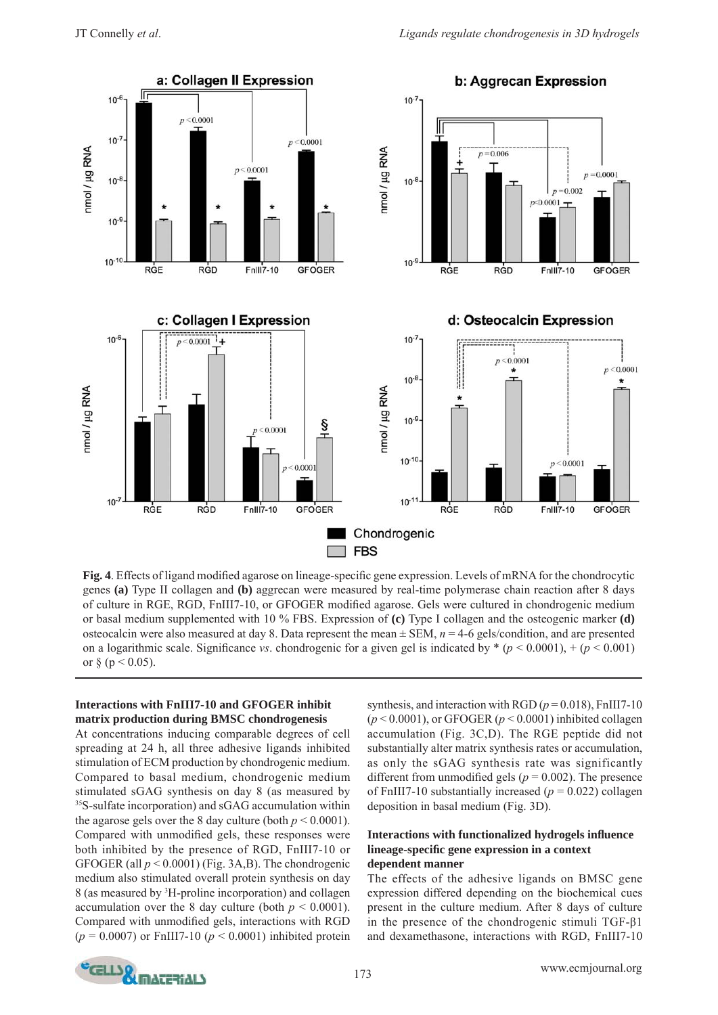

Fig. 4. Effects of ligand modified agarose on lineage-specific gene expression. Levels of mRNA for the chondrocytic genes **(a)** Type II collagen and **(b)** aggrecan were measured by real-time polymerase chain reaction after 8 days of culture in RGE, RGD, FnIII7-10, or GFOGER modified agarose. Gels were cultured in chondrogenic medium or basal medium supplemented with 10 % FBS. Expression of **(c)** Type I collagen and the osteogenic marker **(d)** osteocalcin were also measured at day 8. Data represent the mean ± SEM, *n* = 4-6 gels/condition, and are presented on a logarithmic scale. Significance *vs*. chondrogenic for a given gel is indicated by  $*(p < 0.0001)$ ,  $+(p < 0.001)$ or  $\S$  (p < 0.05).

# **Interactions with FnIII7-10 and GFOGER inhibit matrix production during BMSC chondrogenesis**

At concentrations inducing comparable degrees of cell spreading at 24 h, all three adhesive ligands inhibited stimulation of ECM production by chondrogenic medium. Compared to basal medium, chondrogenic medium stimulated sGAG synthesis on day 8 (as measured by 35S-sulfate incorporation) and sGAG accumulation within the agarose gels over the 8 day culture (both  $p < 0.0001$ ). Compared with unmodified gels, these responses were both inhibited by the presence of RGD, FnIII7-10 or GFOGER (all *p* < 0.0001) (Fig. 3A,B). The chondrogenic medium also stimulated overall protein synthesis on day 8 (as measured by 3 H-proline incorporation) and collagen accumulation over the 8 day culture (both  $p < 0.0001$ ). Compared with unmodified gels, interactions with RGD (*p* = 0.0007) or FnIII7-10 (*p* < 0.0001) inhibited protein

synthesis, and interaction with RGD  $(p = 0.018)$ , FnIII7-10 (*p* < 0.0001), or GFOGER (*p* < 0.0001) inhibited collagen accumulation (Fig. 3C,D). The RGE peptide did not substantially alter matrix synthesis rates or accumulation, as only the sGAG synthesis rate was significantly different from unmodified gels ( $p = 0.002$ ). The presence of FnIII7-10 substantially increased  $(p = 0.022)$  collagen deposition in basal medium (Fig. 3D).

# **Interactions with functionalized hydrogels infl uence lineage-specifi c gene expression in a context dependent manner**

The effects of the adhesive ligands on BMSC gene expression differed depending on the biochemical cues present in the culture medium. After 8 days of culture in the presence of the chondrogenic stimuli TGF-β1 and dexamethasone, interactions with RGD, FnIII7-10

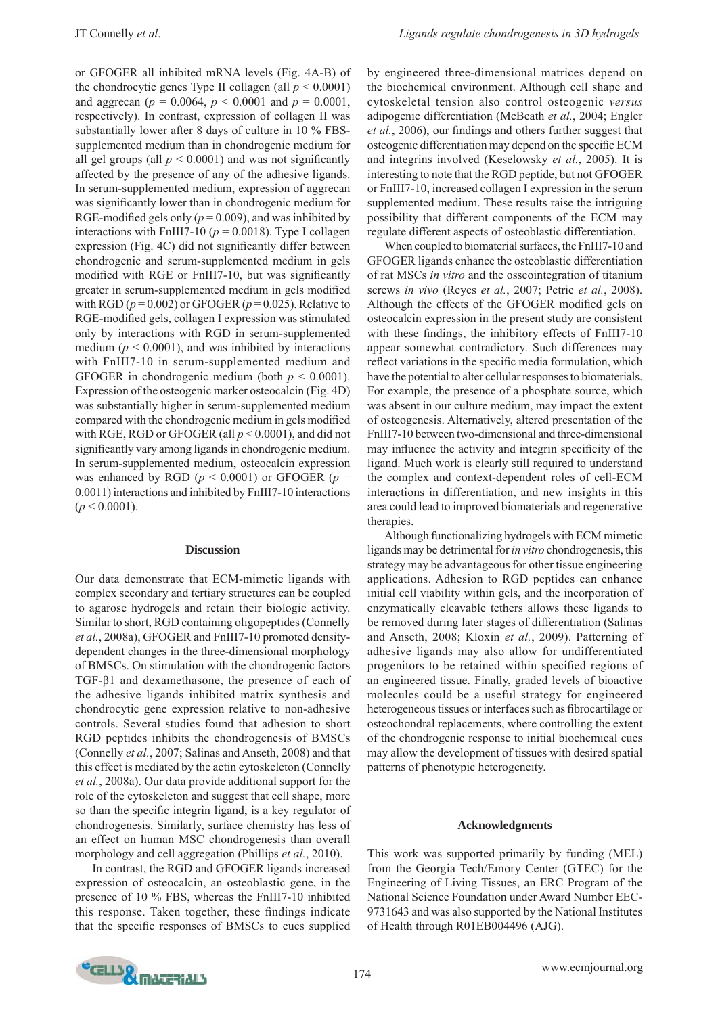or GFOGER all inhibited mRNA levels (Fig. 4A-B) of the chondrocytic genes Type II collagen (all  $p < 0.0001$ ) and aggrecan ( $p = 0.0064$ ,  $p < 0.0001$  and  $p = 0.0001$ , respectively). In contrast, expression of collagen II was substantially lower after 8 days of culture in 10 % FBSsupplemented medium than in chondrogenic medium for all gel groups (all  $p < 0.0001$ ) and was not significantly affected by the presence of any of the adhesive ligands. In serum-supplemented medium, expression of aggrecan was significantly lower than in chondrogenic medium for RGE-modified gels only ( $p = 0.009$ ), and was inhibited by interactions with FnIII7-10 ( $p = 0.0018$ ). Type I collagen expression (Fig. 4C) did not significantly differ between chondrogenic and serum-supplemented medium in gels modified with RGE or FnIII7-10, but was significantly greater in serum-supplemented medium in gels modified with RGD  $(p = 0.002)$  or GFOGER  $(p = 0.025)$ . Relative to RGE-modified gels, collagen I expression was stimulated only by interactions with RGD in serum-supplemented medium ( $p < 0.0001$ ), and was inhibited by interactions with FnIII7-10 in serum-supplemented medium and GFOGER in chondrogenic medium (both  $p < 0.0001$ ). Expression of the osteogenic marker osteocalcin (Fig. 4D) was substantially higher in serum-supplemented medium compared with the chondrogenic medium in gels modified with RGE, RGD or GFOGER (all *p* < 0.0001), and did not significantly vary among ligands in chondrogenic medium. In serum-supplemented medium, osteocalcin expression was enhanced by RGD  $(p < 0.0001)$  or GFOGER  $(p =$ 0.0011) interactions and inhibited by FnIII7-10 interactions  $(p < 0.0001)$ .

#### **Discussion**

Our data demonstrate that ECM-mimetic ligands with complex secondary and tertiary structures can be coupled to agarose hydrogels and retain their biologic activity. Similar to short, RGD containing oligopeptides (Connelly *et al.*, 2008a), GFOGER and FnIII7-10 promoted densitydependent changes in the three-dimensional morphology of BMSCs. On stimulation with the chondrogenic factors TGF-β1 and dexamethasone, the presence of each of the adhesive ligands inhibited matrix synthesis and chondrocytic gene expression relative to non-adhesive controls. Several studies found that adhesion to short RGD peptides inhibits the chondrogenesis of BMSCs (Connelly *et al.*, 2007; Salinas and Anseth, 2008) and that this effect is mediated by the actin cytoskeleton (Connelly *et al.*, 2008a). Our data provide additional support for the role of the cytoskeleton and suggest that cell shape, more so than the specific integrin ligand, is a key regulator of chondrogenesis. Similarly, surface chemistry has less of an effect on human MSC chondrogenesis than overall morphology and cell aggregation (Phillips *et al.*, 2010).

 In contrast, the RGD and GFOGER ligands increased expression of osteocalcin, an osteoblastic gene, in the presence of 10 % FBS, whereas the FnIII7-10 inhibited this response. Taken together, these findings indicate that the specific responses of BMSCs to cues supplied by engineered three-dimensional matrices depend on the biochemical environment. Although cell shape and cytoskeletal tension also control osteogenic *versus* adipogenic differentiation (McBeath *et al.*, 2004; Engler *et al.*, 2006), our findings and others further suggest that osteogenic differentiation may depend on the specific ECM and integrins involved (Keselowsky *et al.*, 2005). It is interesting to note that the RGD peptide, but not GFOGER or FnIII7-10, increased collagen I expression in the serum supplemented medium. These results raise the intriguing possibility that different components of the ECM may regulate different aspects of osteoblastic differentiation.

 When coupled to biomaterial surfaces, the FnIII7-10 and GFOGER ligands enhance the osteoblastic differentiation of rat MSCs *in vitro* and the osseointegration of titanium screws *in vivo* (Reyes *et al.*, 2007; Petrie *et al.*, 2008). Although the effects of the GFOGER modified gels on osteocalcin expression in the present study are consistent with these findings, the inhibitory effects of FnIII7-10 appear somewhat contradictory. Such differences may reflect variations in the specific media formulation, which have the potential to alter cellular responses to biomaterials. For example, the presence of a phosphate source, which was absent in our culture medium, may impact the extent of osteogenesis. Alternatively, altered presentation of the FnIII7-10 between two-dimensional and three-dimensional may influence the activity and integrin specificity of the ligand. Much work is clearly still required to understand the complex and context-dependent roles of cell-ECM interactions in differentiation, and new insights in this area could lead to improved biomaterials and regenerative therapies.

 Although functionalizing hydrogels with ECM mimetic ligands may be detrimental for *in vitro* chondrogenesis, this strategy may be advantageous for other tissue engineering applications. Adhesion to RGD peptides can enhance initial cell viability within gels, and the incorporation of enzymatically cleavable tethers allows these ligands to be removed during later stages of differentiation (Salinas and Anseth, 2008; Kloxin *et al.*, 2009). Patterning of adhesive ligands may also allow for undifferentiated progenitors to be retained within specified regions of an engineered tissue. Finally, graded levels of bioactive molecules could be a useful strategy for engineered heterogeneous tissues or interfaces such as fibrocartilage or osteochondral replacements, where controlling the extent of the chondrogenic response to initial biochemical cues may allow the development of tissues with desired spatial patterns of phenotypic heterogeneity.

#### **Acknowledgments**

This work was supported primarily by funding (MEL) from the Georgia Tech/Emory Center (GTEC) for the Engineering of Living Tissues, an ERC Program of the National Science Foundation under Award Number EEC-9731643 and was also supported by the National Institutes of Health through R01EB004496 (AJG).

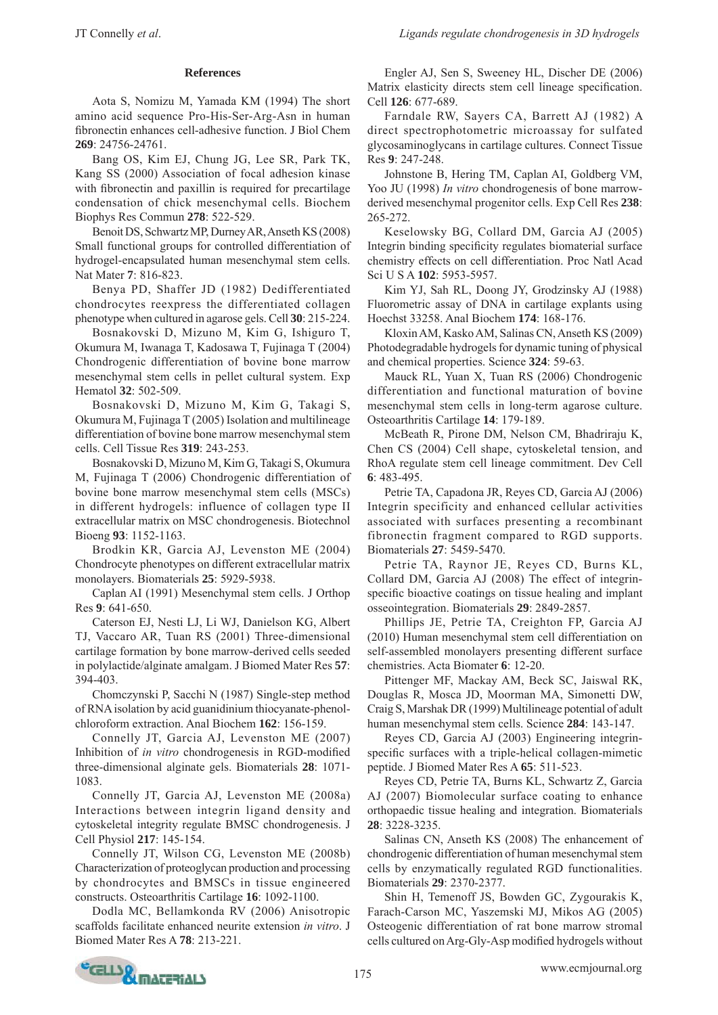# **References**

 A ota S, Nomizu M, Yamada KM (1994) The short amino acid sequence Pro-His-Ser-Arg-Asn in human fibronectin enhances cell-adhesive function. J Biol Chem **269**: 24756-24761.

 B ang OS, Kim EJ, Chung JG, Lee SR, Park TK, Kang SS (2000) Association of focal adhesion kinase with fibronectin and paxillin is required for precartilage condensation of chick mesenchymal cells. Biochem Biophys Res Commun **278**: 522-529.

Benoit DS, Schwartz MP, Durney AR, Anseth KS (2008) Small functional groups for controlled differentiation of hydrogel-encapsulated human mesenchymal stem cells. Nat Mater **7**: 816-823.

Benya PD, Shaffer JD (1982) Dedifferentiated chondrocytes reexpress the differentiated collagen phenotype when cultured in agarose gels. Cell **30**: 215-224.

 B osnakovski D, Mizuno M, Kim G, Ishiguro T, Okumura M, Iwanaga T, Kadosawa T, Fujinaga T (2004) Chondrogenic differentiation of bovine bone marrow mesenchymal stem cells in pellet cultural system. Exp Hematol **32**: 502-509.

 B osnakovski D, Mizuno M, Kim G, Takagi S, Okumura M, Fujinaga T (2005) Isolation and multilineage differentiation of bovine bone marrow mesenchymal stem cells. Cell Tissue Res **319**: 243-253.

 B osnakovski D, Mizuno M, Kim G, Takagi S, Okumura M, Fujinaga T (2006) Chondrogenic differentiation of bovine bone marrow mesenchymal stem cells (MSCs) in different hydrogels: influence of collagen type II extracellular matrix on MSC chondrogenesis. Biotechnol Bioeng **93**: 1152-1163.

Brodkin KR, Garcia AJ, Levenston ME (2004) Chondrocyte phenotypes on different extracellular matrix monolayers. Biomaterials **25**: 5929-5938.

Caplan AI (1991) Mesenchymal stem cells. J Orthop Res **9**: 641-650.

Caterson EJ, Nesti LJ, Li WJ, Danielson KG, Albert TJ, Vaccaro AR, Tuan RS (2001) Three-dimensional cartilage formation by bone marrow-derived cells seeded in polylactide/alginate amalgam. J Biomed Mater Res **57**: 394-403.

Chomczynski P, Sacchi N (1987) Single-step method of RNA isolation by acid guanidinium thiocyanate-phenolchloroform extraction. Anal Biochem **162**: 156-159.

Connelly JT, Garcia AJ, Levenston ME (2007) Inhibition of *in vitro* chondrogenesis in RGD-modified three-dimensional alginate gels. Biomaterials **28**: 1071- 1083.

Connelly JT, Garcia AJ, Levenston ME (2008a) Interactions between integrin ligand density and cytoskeletal integrity regulate BMSC chondrogenesis. J Cell Physiol **217**: 145-154.

Connelly JT, Wilson CG, Levenston ME (2008b) Characterization of proteoglycan production and processing by chondrocytes and BMSCs in tissue engineered constructs. Osteoarthritis Cartilage **16**: 1092-1100.

Dodla MC, Bellamkonda RV (2006) Anisotropic scaffolds facilitate enhanced neurite extension *in vitro*. J Biomed Mater Res A **78**: 213-221.

Engler AJ, Sen S, Sweeney HL, Discher DE (2006) Matrix elasticity directs stem cell lineage specification. Cell **126**: 677-689.

Farndale RW, Sayers CA, Barrett AJ (1982) A direct spectrophotometric microassay for sulfated glycosaminoglycans in cartilage cultures. Connect Tissue Res **9**: 247-248.

Johnstone B, Hering TM, Caplan AI, Goldberg VM, Yoo JU (1998) *In vitro* chondrogenesis of bone marrowderived mesenchymal progenitor cells. Exp Cell Res **238**: 265-272.

 K eselowsky BG, Collard DM, Garcia AJ (2005) Integrin binding specificity regulates biomaterial surface chemistry effects on cell differentiation. Proc Natl Acad Sci U S A **102**: 5953-5957.

Kim YJ, Sah RL, Doong JY, Grodzinsky AJ (1988) Fluorometric assay of DNA in cartilage explants using Hoechst 33258. Anal Biochem **174**: 168-176.

 K loxin AM, Kasko AM, Salinas CN, Anseth KS (2009) Photodegradable hydrogels for dynamic tuning of physical and chemical properties. Science **324**: 59-63.

Mauck RL, Yuan X, Tuan RS (2006) Chondrogenic differentiation and functional maturation of bovine mesenchymal stem cells in long-term agarose culture. Osteoarthritis Cartilage **14**: 179-189.

McBeath R, Pirone DM, Nelson CM, Bhadriraju K, Chen CS (2004) Cell shape, cytoskeletal tension, and RhoA regulate stem cell lineage commitment. Dev Cell **6**: 483-495.

Petrie TA, Capadona JR, Reyes CD, Garcia AJ (2006) Integrin specificity and enhanced cellular activities associated with surfaces presenting a recombinant fibronectin fragment compared to RGD supports. Biomaterials **27**: 5459-5470.

Petrie TA, Raynor JE, Reyes CD, Burns KL, Collard DM, Garcia AJ (2008) The effect of integrinspecific bioactive coatings on tissue healing and implant osseointegration. Biomaterials **29**: 2849-2857.

 Phillips JE, Petrie TA, Creighton FP, Garcia AJ (2010) Human mesenchymal stem cell differentiation on self-assembled monolayers presenting different surface chemistries. Acta Biomater **6**: 12-20.

 Pittenger MF, Mackay AM, Beck SC, Jaiswal RK, Douglas R, Mosca JD, Moorman MA, Simonetti DW, Craig S, Marshak DR (1999) Multilineage potential of adult human mesenchymal stem cells. Science **284**: 143-147.

 Reyes CD, Garcia AJ (2003) Engineering integrinspecific surfaces with a triple-helical collagen-mimetic peptide. J Biomed Mater Res A **65**: 511-523.

 Reyes CD, Petrie TA, Burns KL, Schwartz Z, Garcia AJ (2007) Biomolecular surface coating to enhance orthopaedic tissue healing and integration. Biomaterials **28**: 3228-3235.

 Salinas CN, Anseth KS (2008) The enhancement of chondrogenic differentiation of human mesenchymal stem cells by enzymatically regulated RGD functionalities. Biomaterials **29**: 2370-2377.

 Shin H, Temenoff JS, Bowden GC, Zygourakis K, Farach-Carson MC, Yaszemski MJ, Mikos AG (2005) Osteogenic differentiation of rat bone marrow stromal cells cultured on Arg-Gly-Asp modified hydrogels without

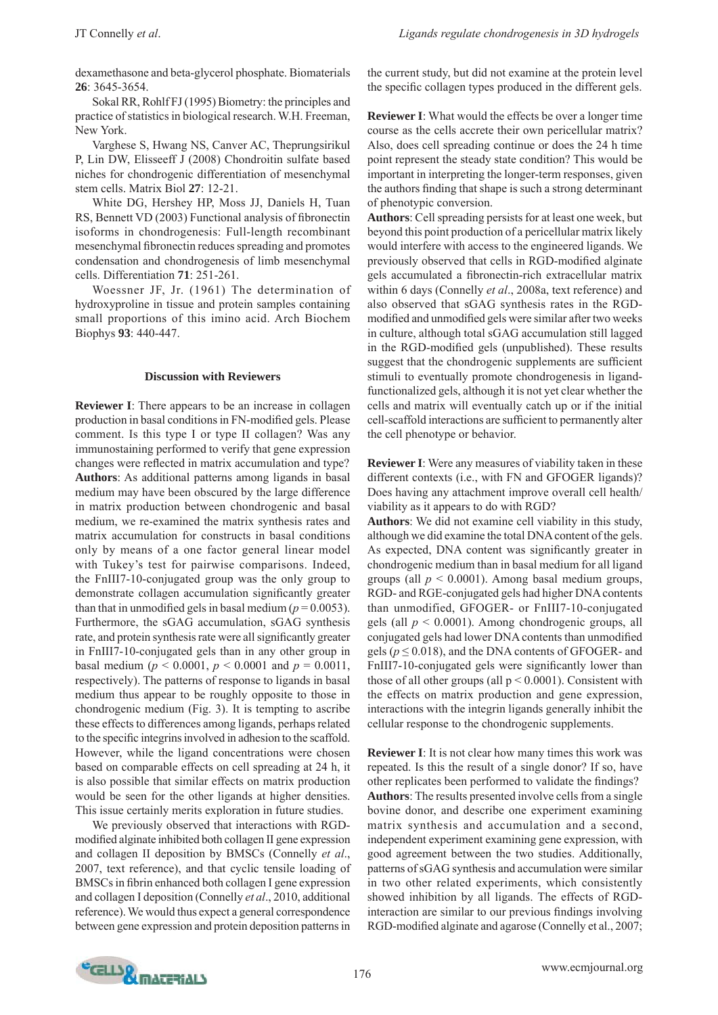dexamethasone and beta-glycerol phosphate. Biomaterials **26**: 3645-3654.

 Sokal RR, Rohlf FJ (1995) Biometry: the principles and practice of statistics in biological research. W.H. Freeman, New York.

 Varghese S, Hwang NS, Canver AC, Theprungsirikul P, Lin DW, Elisseeff J (2008) Chondroitin sulfate based niches for chondrogenic differentiation of mesenchymal stem cells. Matrix Biol **27**: 12-21.

 White DG, Hershey HP, Moss JJ, Daniels H, Tuan RS, Bennett VD (2003) Functional analysis of fibronectin isoforms in chondrogenesis: Full-length recombinant mesenchymal fibronectin reduces spreading and promotes condensation and chondrogenesis of limb mesenchymal cells. Differentiation **71**: 251-261.

 Woessner JF, Jr. (1961) The determination of hydroxyproline in tissue and protein samples containing small proportions of this imino acid. Arch Biochem Biophys **93**: 440-447.

### **Discussion with Reviewers**

**Reviewer I**: There appears to be an increase in collagen production in basal conditions in FN-modified gels. Please comment. Is this type I or type II collagen? Was any immunostaining performed to verify that gene expression changes were reflected in matrix accumulation and type? **Authors**: As additional patterns among ligands in basal medium may have been obscured by the large difference in matrix production between chondrogenic and basal medium, we re-examined the matrix synthesis rates and matrix accumulation for constructs in basal conditions only by means of a one factor general linear model with Tukey's test for pairwise comparisons. Indeed, the FnIII7-10-conjugated group was the only group to demonstrate collagen accumulation significantly greater than that in unmodified gels in basal medium ( $p = 0.0053$ ). Furthermore, the sGAG accumulation, sGAG synthesis rate, and protein synthesis rate were all significantly greater in FnIII7-10-conjugated gels than in any other group in basal medium ( $p < 0.0001$ ,  $p < 0.0001$  and  $p = 0.0011$ , respectively). The patterns of response to ligands in basal medium thus appear to be roughly opposite to those in chondrogenic medium (Fig. 3). It is tempting to ascribe these effects to differences among ligands, perhaps related to the specific integrins involved in adhesion to the scaffold. However, while the ligand concentrations were chosen based on comparable effects on cell spreading at 24 h, it is also possible that similar effects on matrix production would be seen for the other ligands at higher densities. This issue certainly merits exploration in future studies.

 We previously observed that interactions with RGDmodified alginate inhibited both collagen II gene expression and collagen II deposition by BMSCs (Connelly *et al*., 2007, text reference), and that cyclic tensile loading of BMSCs in fibrin enhanced both collagen I gene expression and collagen I deposition (Connelly *et al*., 2010, additional reference). We would thus expect a general correspondence between gene expression and protein deposition patterns in

the current study, but did not examine at the protein level the specific collagen types produced in the different gels.

**Reviewer I**: What would the effects be over a longer time course as the cells accrete their own pericellular matrix? Also, does cell spreading continue or does the 24 h time point represent the steady state condition? This would be important in interpreting the longer-term responses, given the authors finding that shape is such a strong determinant of phenotypic conversion.

**Authors**: Cell spreading persists for at least one week, but beyond this point production of a pericellular matrix likely would interfere with access to the engineered ligands. We previously observed that cells in RGD-modified alginate gels accumulated a fibronectin-rich extracellular matrix within 6 days (Connelly *et al*., 2008a, text reference) and also observed that sGAG synthesis rates in the RGDmodified and unmodified gels were similar after two weeks in culture, although total sGAG accumulation still lagged in the RGD-modified gels (unpublished). These results suggest that the chondrogenic supplements are sufficient stimuli to eventually promote chondrogenesis in ligandfunctionalized gels, although it is not yet clear whether the cells and matrix will eventually catch up or if the initial cell-scaffold interactions are sufficient to permanently alter the cell phenotype or behavior.

**Reviewer I**: Were any measures of viability taken in these different contexts (i.e., with FN and GFOGER ligands)? Does having any attachment improve overall cell health/ viability as it appears to do with RGD?

**Authors**: We did not examine cell viability in this study, although we did examine the total DNA content of the gels. As expected, DNA content was significantly greater in chondrogenic medium than in basal medium for all ligand groups (all  $p < 0.0001$ ). Among basal medium groups, RGD- and RGE-conjugated gels had higher DNA contents than unmodified, GFOGER- or FnIII7-10-conjugated gels (all *p* < 0.0001). Among chondrogenic groups, all conjugated gels had lower DNA contents than unmodified gels ( $p \le 0.018$ ), and the DNA contents of GFOGER- and FnIII7-10-conjugated gels were significantly lower than those of all other groups (all  $p < 0.0001$ ). Consistent with the effects on matrix production and gene expression, interactions with the integrin ligands generally inhibit the cellular response to the chondrogenic supplements.

**Reviewer I**: It is not clear how many times this work was repeated. Is this the result of a single donor? If so, have other replicates been performed to validate the findings? **Authors**: The results presented involve cells from a single bovine donor, and describe one experiment examining matrix synthesis and accumulation and a second, independent experiment examining gene expression, with good agreement between the two studies. Additionally, patterns of sGAG synthesis and accumulation were similar in two other related experiments, which consistently showed inhibition by all ligands. The effects of RGDinteraction are similar to our previous findings involving RGD-modified alginate and agarose (Connelly et al., 2007;